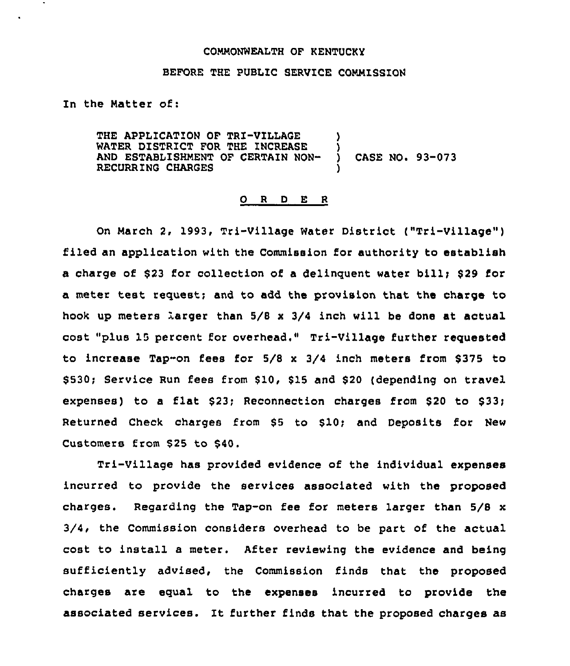#### COMMONWEALTH OF KENTUCKY

### BEFORE THE PUBLIC SERVICE COMMISSION

In the Natter of:

THE APPLICATION OF TRI-VILLAGE WATER DISTRICT FOR THE INCREASE )<br>AND ESTABLISHMENT OF CERTAIN NON- ) AND ESTABLISHMENT OF CERTAIN NON- ) CASE NO. 93-073 RECURRING CHARGES

#### 0 <sup>R</sup> <sup>D</sup> E <sup>R</sup>

On March 2, 1993, Tri-Village Water District ("Tri-Village" ) filed an application with the Commission for authority to establish a charge of \$23 for collection of a delinquent water bill; \$29 for a meter test request; and to add the provision that the charge to hook up meters larger than 5/8 x 3/4 inch will be done at actual cost "plus 15 percent for overhead." Tri-Village further requested to increase Tap-on fees for  $5/8 \times 3/4$  inch meters from \$ 375 to \$530; Service Run fees from \$10, \$15 and \$20 (depending on travel expenses) to a flat  $$23;$  Reconnection charges from  $$20$  to  $$33;$ Returned Check charges from \$5 to \$10; and Deposits for New Customers from \$25 to \$40.

Tri-Village has provided evidence of the individual expenses incurred to provide the services associated with the proposed charges. Regarding the Tap-on fee for meters larger than 5/8 x 3/4, the Commission considers overhead to be part of the actual cost to install a meter. After reviewing the evidence and being sufficiently advised, the Commission finds that the proposed charges are equal to the expenses incurred to provide the associated services. It further finds that the proposed charges as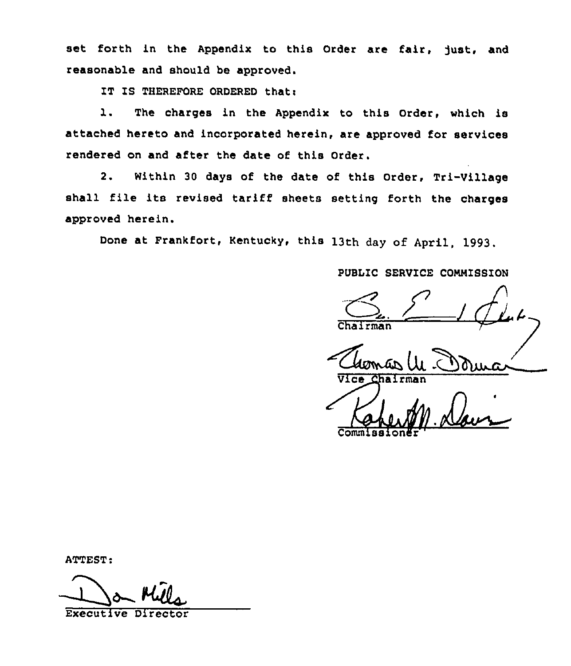set forth in the Appendix to this Order are fair, Just, and reasonable and should be approved.

IT IS THEREFORE ORDERED that:

l. The charges in the Appendix to this Order, which is attached hereto and incorporated herein, are approved for services rendered on and after the date of this Order.

2. Within 30 days of the date of this Order, Tri-Village shall file its revised tariff sheets setting forth the charges approved herein.

Done at Frankfort, Kentucky. this 13th day of April, 1993.

PUBLIC SERVICE COMMISSION

 $1/4$ 

Chairman<br>Clomas UL C

Commissioner

ATTEST:

Executive Direct